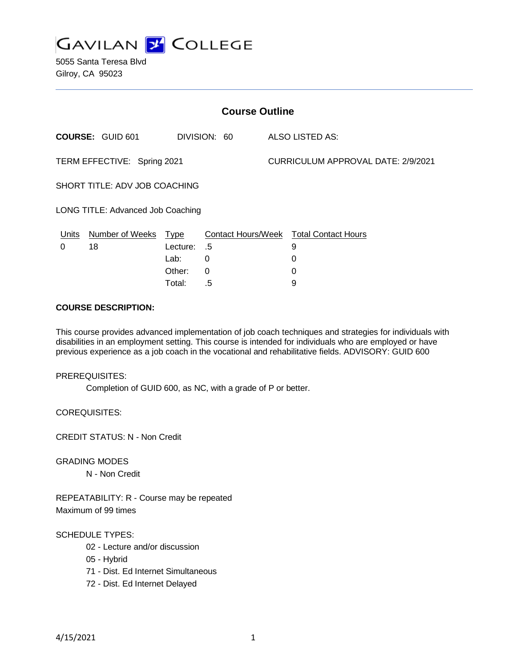

5055 Santa Teresa Blvd Gilroy, CA 95023

| <b>Course Outline</b>             |                         |             |                           |                                    |                            |
|-----------------------------------|-------------------------|-------------|---------------------------|------------------------------------|----------------------------|
|                                   | <b>COURSE: GUID 601</b> |             | DIVISION: 60              |                                    | ALSO LISTED AS:            |
| TERM EFFECTIVE: Spring 2021       |                         |             |                           | CURRICULUM APPROVAL DATE: 2/9/2021 |                            |
| SHORT TITLE: ADV JOB COACHING     |                         |             |                           |                                    |                            |
| LONG TITLE: Advanced Job Coaching |                         |             |                           |                                    |                            |
| Units                             | Number of Weeks         | <u>Type</u> | <b>Contact Hours/Week</b> |                                    | <b>Total Contact Hours</b> |
| 0                                 | 18                      | Lecture:    | .5                        |                                    | 9                          |
|                                   |                         | Lab:        | 0                         |                                    | 0                          |
|                                   |                         | Other:      | 0                         |                                    | 0                          |

Total: .5 9

### **COURSE DESCRIPTION:**

This course provides advanced implementation of job coach techniques and strategies for individuals with disabilities in an employment setting. This course is intended for individuals who are employed or have previous experience as a job coach in the vocational and rehabilitative fields. ADVISORY: GUID 600

#### PREREQUISITES:

Completion of GUID 600, as NC, with a grade of P or better.

COREQUISITES:

CREDIT STATUS: N - Non Credit

GRADING MODES

N - Non Credit

REPEATABILITY: R - Course may be repeated Maximum of 99 times

#### SCHEDULE TYPES:

- 02 Lecture and/or discussion
- 05 Hybrid
- 71 Dist. Ed Internet Simultaneous
- 72 Dist. Ed Internet Delayed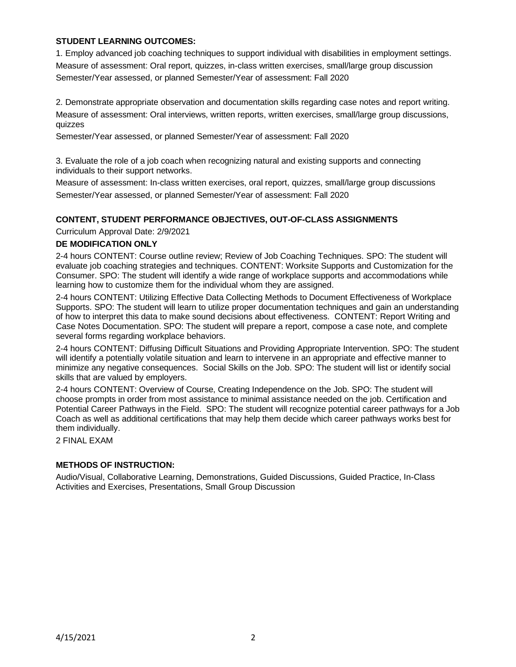## **STUDENT LEARNING OUTCOMES:**

1. Employ advanced job coaching techniques to support individual with disabilities in employment settings. Measure of assessment: Oral report, quizzes, in-class written exercises, small/large group discussion Semester/Year assessed, or planned Semester/Year of assessment: Fall 2020

2. Demonstrate appropriate observation and documentation skills regarding case notes and report writing. Measure of assessment: Oral interviews, written reports, written exercises, small/large group discussions, quizzes

Semester/Year assessed, or planned Semester/Year of assessment: Fall 2020

3. Evaluate the role of a job coach when recognizing natural and existing supports and connecting individuals to their support networks.

Measure of assessment: In-class written exercises, oral report, quizzes, small/large group discussions Semester/Year assessed, or planned Semester/Year of assessment: Fall 2020

## **CONTENT, STUDENT PERFORMANCE OBJECTIVES, OUT-OF-CLASS ASSIGNMENTS**

Curriculum Approval Date: 2/9/2021

#### **DE MODIFICATION ONLY**

2-4 hours CONTENT: Course outline review; Review of Job Coaching Techniques. SPO: The student will evaluate job coaching strategies and techniques. CONTENT: Worksite Supports and Customization for the Consumer. SPO: The student will identify a wide range of workplace supports and accommodations while learning how to customize them for the individual whom they are assigned.

2-4 hours CONTENT: Utilizing Effective Data Collecting Methods to Document Effectiveness of Workplace Supports. SPO: The student will learn to utilize proper documentation techniques and gain an understanding of how to interpret this data to make sound decisions about effectiveness. CONTENT: Report Writing and Case Notes Documentation. SPO: The student will prepare a report, compose a case note, and complete several forms regarding workplace behaviors.

2-4 hours CONTENT: Diffusing Difficult Situations and Providing Appropriate Intervention. SPO: The student will identify a potentially volatile situation and learn to intervene in an appropriate and effective manner to minimize any negative consequences. Social Skills on the Job. SPO: The student will list or identify social skills that are valued by employers.

2-4 hours CONTENT: Overview of Course, Creating Independence on the Job. SPO: The student will choose prompts in order from most assistance to minimal assistance needed on the job. Certification and Potential Career Pathways in the Field. SPO: The student will recognize potential career pathways for a Job Coach as well as additional certifications that may help them decide which career pathways works best for them individually.

2 FINAL EXAM

## **METHODS OF INSTRUCTION:**

Audio/Visual, Collaborative Learning, Demonstrations, Guided Discussions, Guided Practice, In-Class Activities and Exercises, Presentations, Small Group Discussion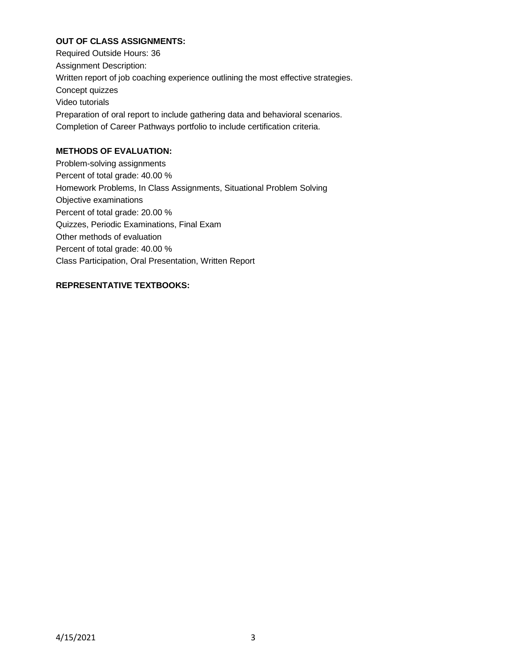# **OUT OF CLASS ASSIGNMENTS:**

Required Outside Hours: 36 Assignment Description: Written report of job coaching experience outlining the most effective strategies. Concept quizzes Video tutorials Preparation of oral report to include gathering data and behavioral scenarios. Completion of Career Pathways portfolio to include certification criteria.

# **METHODS OF EVALUATION:**

Problem-solving assignments Percent of total grade: 40.00 % Homework Problems, In Class Assignments, Situational Problem Solving Objective examinations Percent of total grade: 20.00 % Quizzes, Periodic Examinations, Final Exam Other methods of evaluation Percent of total grade: 40.00 % Class Participation, Oral Presentation, Written Report

# **REPRESENTATIVE TEXTBOOKS:**